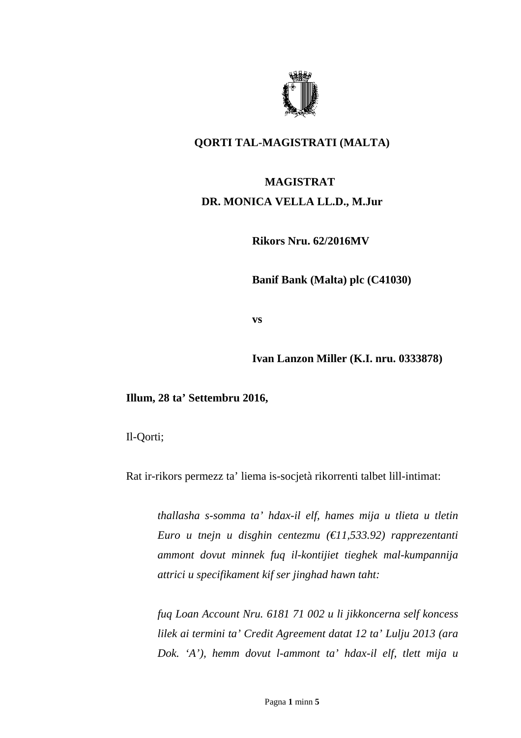

## **QORTI TAL-MAGISTRATI (MALTA)**

## **MAGISTRAT DR. MONICA VELLA LL.D., M.Jur**

**Rikors Nru. 62/2016MV** 

**Banif Bank (Malta) plc (C41030)** 

**vs** 

**Ivan Lanzon Miller (K.I. nru. 0333878)** 

**Illum, 28 ta' Settembru 2016,** 

Il-Qorti;

Rat ir-rikors permezz ta' liema is-socjetà rikorrenti talbet lill-intimat:

*thallasha s-somma ta' hdax-il elf, hames mija u tlieta u tletin Euro u tnejn u disghin centezmu (€11,533.92) rapprezentanti ammont dovut minnek fuq il-kontijiet tieghek mal-kumpannija attrici u specifikament kif ser jinghad hawn taht:* 

*fuq Loan Account Nru. 6181 71 002 u li jikkoncerna self koncess lilek ai termini ta' Credit Agreement datat 12 ta' Lulju 2013 (ara Dok. 'A'), hemm dovut l-ammont ta' hdax-il elf, tlett mija u*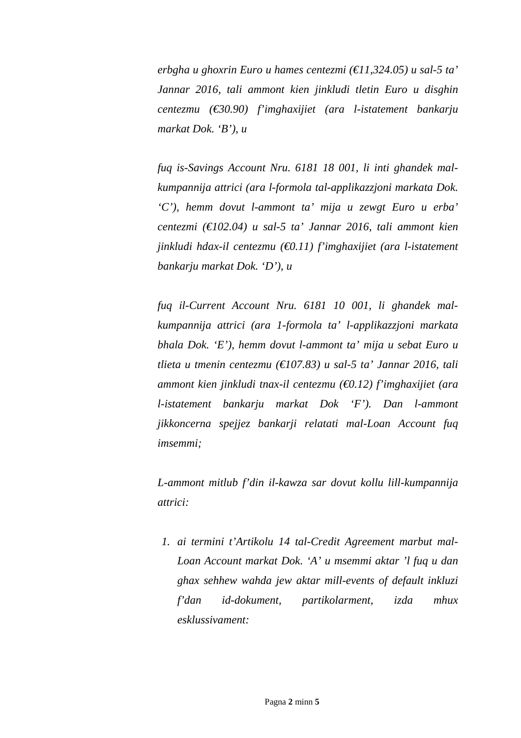*erbgha u ghoxrin Euro u hames centezmi (€11,324.05) u sal-5 ta' Jannar 2016, tali ammont kien jinkludi tletin Euro u disghin centezmu (€30.90) f'imghaxijiet (ara l-istatement bankarju markat Dok. 'B'), u* 

*fuq is-Savings Account Nru. 6181 18 001, li inti ghandek malkumpannija attrici (ara l-formola tal-applikazzjoni markata Dok. 'C'), hemm dovut l-ammont ta' mija u zewgt Euro u erba' centezmi (€102.04) u sal-5 ta' Jannar 2016, tali ammont kien jinkludi hdax-il centezmu (€0.11) f'imghaxijiet (ara l-istatement bankarju markat Dok. 'D'), u* 

*fuq il-Current Account Nru. 6181 10 001, li ghandek malkumpannija attrici (ara 1-formola ta' l-applikazzjoni markata bhala Dok. 'E'), hemm dovut l-ammont ta' mija u sebat Euro u tlieta u tmenin centezmu (€107.83) u sal-5 ta' Jannar 2016, tali ammont kien jinkludi tnax-il centezmu (€0.12) f'imghaxijiet (ara l-istatement bankarju markat Dok 'F'). Dan l-ammont jikkoncerna spejjez bankarji relatati mal-Loan Account fuq imsemmi;* 

*L-ammont mitlub f'din il-kawza sar dovut kollu lill-kumpannija attrici:* 

*1. ai termini t'Artikolu 14 tal-Credit Agreement marbut mal-Loan Account markat Dok. 'A' u msemmi aktar 'l fuq u dan ghax sehhew wahda jew aktar mill-events of default inkluzi f'dan id-dokument, partikolarment, izda mhux esklussivament:*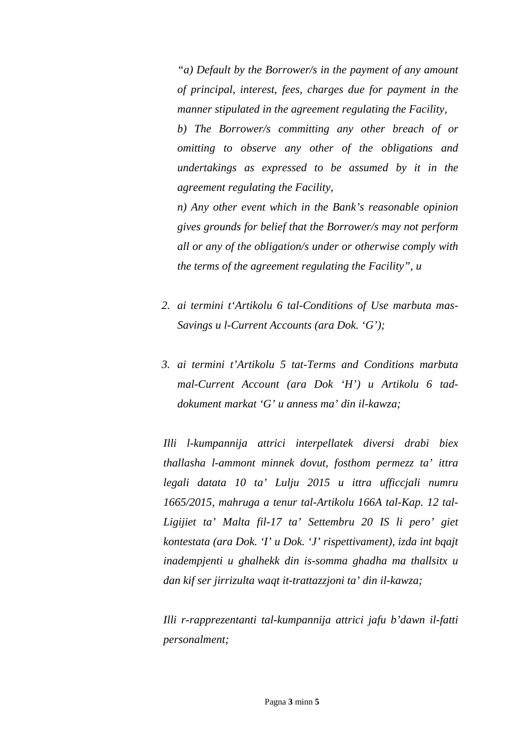*"a) Default by the Borrower/s in the payment of any amount of principal, interest, fees, charges due for payment in the manner stipulated in the agreement regulating the Facility, b) The Borrower/s committing any other breach of or omitting to observe any other of the obligations and undertakings as expressed to be assumed by it in the agreement regulating the Facility, n) Any other event which in the Bank's reasonable opinion* 

*gives grounds for belief that the Borrower/s may not perform all or any of the obligation/s under or otherwise comply with the terms of the agreement regulating the Facility", u* 

- *2. ai termini t'Artikolu 6 tal-Conditions of Use marbuta mas-Savings u l-Current Accounts (ara Dok. 'G');*
- *3. ai termini t'Artikolu 5 tat-Terms and Conditions marbuta mal-Current Account (ara Dok 'H') u Artikolu 6 taddokument markat 'G' u anness ma' din il-kawza;*

*Illi l-kumpannija attrici interpellatek diversi drabi biex thallasha l-ammont minnek dovut, fosthom permezz ta' ittra legali datata 10 ta' Lulju 2015 u ittra ufficcjali numru 1665/2015, mahruga a tenur tal-Artikolu 166A tal-Kap. 12 tal-Ligijiet ta' Malta fil-17 ta' Settembru 20 IS li pero' giet kontestata (ara Dok. 'I' u Dok. 'J' rispettivament), izda int bqajt inadempjenti u ghalhekk din is-somma ghadha ma thallsitx u dan kif ser jirrizulta waqt it-trattazzjoni ta' din il-kawza;* 

*Illi r-rapprezentanti tal-kumpannija attrici jafu b'dawn il-fatti personalment;*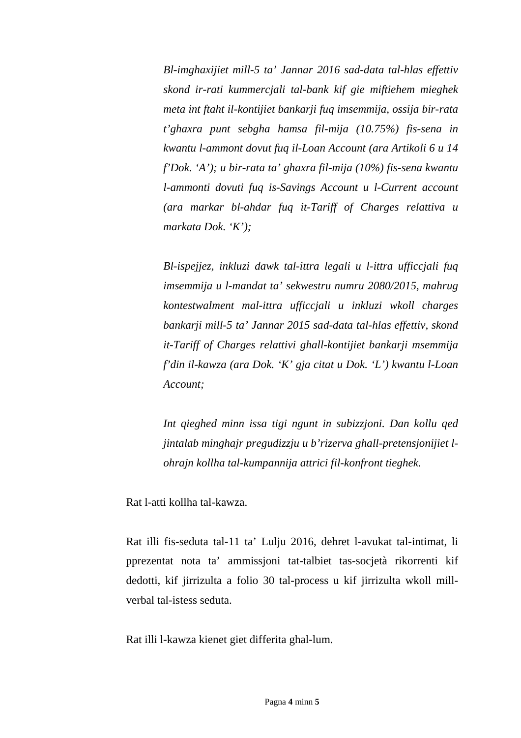*Bl-imghaxijiet mill-5 ta' Jannar 2016 sad-data tal-hlas effettiv skond ir-rati kummercjali tal-bank kif gie miftiehem mieghek meta int ftaht il-kontijiet bankarji fuq imsemmija, ossija bir-rata t'ghaxra punt sebgha hamsa fil-mija (10.75%) fis-sena in kwantu l-ammont dovut fuq il-Loan Account (ara Artikoli 6 u 14 f'Dok. 'A'); u bir-rata ta' ghaxra fil-mija (10%) fis-sena kwantu l-ammonti dovuti fuq is-Savings Account u l-Current account (ara markar bl-ahdar fuq it-Tariff of Charges relattiva u markata Dok. 'K');* 

*Bl-ispejjez, inkluzi dawk tal-ittra legali u l-ittra ufficcjali fuq imsemmija u l-mandat ta' sekwestru numru 2080/2015, mahrug kontestwalment mal-ittra ufficcjali u inkluzi wkoll charges bankarji mill-5 ta' Jannar 2015 sad-data tal-hlas effettiv, skond it-Tariff of Charges relattivi ghall-kontijiet bankarji msemmija f'din il-kawza (ara Dok. 'K' gja citat u Dok. 'L') kwantu l-Loan Account;* 

*Int qieghed minn issa tigi ngunt in subizzjoni. Dan kollu qed jintalab minghajr pregudizzju u b'rizerva ghall-pretensjonijiet lohrajn kollha tal-kumpannija attrici fil-konfront tieghek.* 

Rat l-atti kollha tal-kawza.

Rat illi fis-seduta tal-11 ta' Lulju 2016, dehret l-avukat tal-intimat, li pprezentat nota ta' ammissjoni tat-talbiet tas-socjetà rikorrenti kif dedotti, kif jirrizulta a folio 30 tal-process u kif jirrizulta wkoll millverbal tal-istess seduta.

Rat illi l-kawza kienet giet differita ghal-lum.